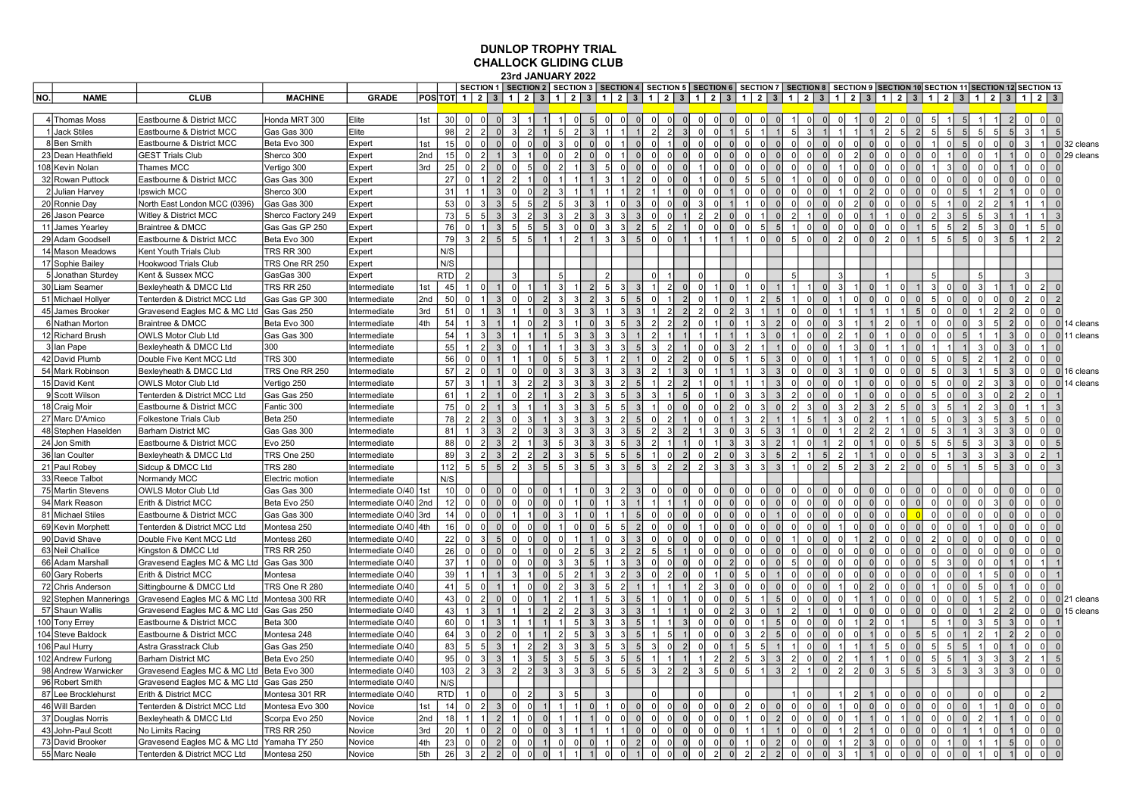## DUNLOP TROPHY TRIAL CHALLOCK GLIDING CLUB 23rd JANUARY 2022

|     |                       |                                              |                    |                       |     |                 |                |                |                                |          |               |                        |               |               |                |                                  |          |                |                |                |                |                 |                |                |                |                      |               |                |                |                      | SECTION 1   SECTION 2   SECTION 3   SECTION 4   SECTION 5   SECTION 6   SECTION 7   SECTION 8   SECTION 9   SECTION 10   SECTION 11   SECTION 12   SECTION 12      |                |                                  |                |                |                |               |
|-----|-----------------------|----------------------------------------------|--------------------|-----------------------|-----|-----------------|----------------|----------------|--------------------------------|----------|---------------|------------------------|---------------|---------------|----------------|----------------------------------|----------|----------------|----------------|----------------|----------------|-----------------|----------------|----------------|----------------|----------------------|---------------|----------------|----------------|----------------------|--------------------------------------------------------------------------------------------------------------------------------------------------------------------|----------------|----------------------------------|----------------|----------------|----------------|---------------|
| NO. | <b>NAME</b>           | <b>CLUB</b>                                  | <b>MACHINE</b>     | <b>GRADE</b>          |     |                 |                |                |                                |          |               |                        |               |               |                |                                  |          |                |                |                |                |                 |                |                |                |                      |               |                |                |                      | POS TOT  1   2   3   1   2   3   1   2   3   1   2   3   1   2   3   1   2   3   1   2   3   1   2   3   1   2   3   1   2   3   1   2   3   1   2   3   1   2   3 |                |                                  |                |                |                |               |
|     |                       |                                              |                    |                       |     |                 |                |                |                                |          |               |                        |               |               |                |                                  |          |                |                |                |                |                 |                |                |                |                      |               |                |                |                      |                                                                                                                                                                    |                |                                  |                |                |                |               |
|     | 4 Thomas Moss         | Eastbourne & District MCC                    | Honda MRT 300      | Elite                 | 1st | 30 <sup>1</sup> |                | $\Omega$       | 0                              |          |               | $\Omega$<br>$\sqrt{5}$ |               |               | 0              |                                  | $\Omega$ | $\Omega$       |                | 0              |                |                 |                | 0              |                | 0                    | $\mathcal{P}$ |                | $\overline{0}$ |                      | 5                                                                                                                                                                  |                | $\overline{2}$                   |                | 0              |                |               |
|     | 1 Jack Stiles         | Eastbourne & District MCC                    | Gas Gas 300        | Elite                 |     | 98              | $\mathcal{P}$  | $\overline{2}$ | $\Omega$<br>3                  |          |               | $\mathfrak{p}$         |               |               | $\mathcal{D}$  |                                  |          | $\Omega$       |                | 5 <sup>1</sup> |                |                 | 5              |                |                |                      |               |                | 2              | 5                    | 5                                                                                                                                                                  |                | 5 <sub>1</sub><br>5 <sup>1</sup> | $\mathcal{R}$  |                |                |               |
|     | 8Ben Smith            | Eastbourne & District MCC                    | Beta Evo 300       | Expert                | 1st | 15              |                | $\Omega$       |                                |          |               | $\Omega$               |               |               |                |                                  |          | $\Omega$       |                | $\Omega$       |                |                 |                | $\Omega$       |                | $\Omega$             |               |                | $\Omega$       |                      | 5                                                                                                                                                                  |                | $\overline{0}$                   | 3 <sup>1</sup> | 1              |                | $0 32$ cleans |
|     | 23 Dean Heathfield    | <b>GEST Trials Club</b>                      | Sherco 300         | Expert                | 2nd | 15              |                | $\mathcal{D}$  |                                |          |               | $\mathfrak{p}$         |               |               | $\Omega$       |                                  |          | $\Omega$       |                | $\Omega$       |                |                 | $\Omega$       | $\Omega$       |                | $\Omega$             |               |                | $\Omega$       |                      | $\Omega$                                                                                                                                                           |                |                                  | 0l             | 0              |                | $0 29$ cleans |
|     | 108 Kevin Nolan       | <b>Thames MCC</b>                            | Vertigo 300        | Expert                | 3rd | 25              |                | $\mathcal{D}$  |                                |          |               |                        |               |               |                |                                  |          |                |                | $\Omega$       |                |                 |                |                |                | $\Omega$             |               |                | $\Omega$       |                      | $\Omega$                                                                                                                                                           |                |                                  | 0l             | $\circ$        |                |               |
|     | 32 Rowan Puttock      | Eastbourne & District MCC                    | Gas Gas 300        | Expert                |     | 27              |                |                |                                |          |               |                        |               |               |                |                                  |          |                |                | 51             |                |                 |                |                |                | $\Omega$             |               |                | ΩI             |                      | $\Omega$                                                                                                                                                           |                |                                  | $\Omega$       | $\overline{0}$ |                |               |
|     | 2 Julian Harvey       | Ipswich MCC                                  | Sherco 300         | Expert                |     | 31              |                | $\vert$        |                                |          |               |                        |               |               |                |                                  |          | $\Omega$       |                | $\Omega$       |                |                 | $\Omega$       | $\Omega$       |                | $\overline{2}$       |               |                | $\Omega$       | $\Omega$             | $\overline{5}$                                                                                                                                                     |                |                                  | $\Omega$       | $\Omega$       |                |               |
|     | 20 Ronnie Day         | North East London MCC (0396)                 | Gas Gas 300        | Expert                |     | 53              |                |                |                                |          |               | 3                      |               |               |                | $\Omega$                         |          |                |                |                |                |                 |                | $\Omega$       |                | $\Omega$             |               |                | $\Omega$       |                      |                                                                                                                                                                    |                |                                  | $\vert$        |                |                |               |
|     | 26 Jason Pearce       | Witley & District MCC                        | Sherco Factory 249 | Expert                |     | 73              |                | 5              |                                |          |               | $\mathcal{P}$          |               |               |                |                                  |          | $\mathcal{P}$  |                | $\Omega$       |                |                 |                |                |                |                      |               |                | ΩI             |                      | $\sqrt{2}$                                                                                                                                                         |                |                                  |                |                |                |               |
|     | 11 James Yearley      | Braintree & DMCC                             | Gas Gas GP 250     | Expert                |     | 76              |                | 1 I            | -5<br>$\mathcal{B}$            | 5        |               | $\Omega$               | 3             |               | 5 <sup>1</sup> | $\mathcal{P}$                    |          | $\Omega$       |                | $\Omega$       | 5              | 5               |                | $\Omega$       | n<br>$\Omega$  | $\Omega$             | C             |                |                | 5<br>5               | $\overline{2}$                                                                                                                                                     |                | 3I<br>$\Omega$                   |                | 5              |                |               |
|     | 29 Adam Goodsell      | Eastbourne & District MCC                    | Beta Evo 300       | Expert                |     | 79              |                | 2 <sup>1</sup> | 5 <sub>l</sub><br>5            | 5        |               | $\mathfrak{p}$         | 3             | $\mathcal{R}$ | $\Omega$       | $\Omega$                         |          |                |                |                | $\Omega$       | $\Omega$        | 5              | $\Omega$       | $\mathfrak{D}$ | $\Omega$             |               |                | 1 <sup>1</sup> | 5 <sup>1</sup><br>5  | 5                                                                                                                                                                  | $\Omega$       | 5 <sub>l</sub><br>3 <sup>1</sup> | -1 I           | 2              |                |               |
|     | 14 Mason Meadows      | Kent Youth Trials Club                       | <b>TRS RR 300</b>  | Expert                |     | N/S             |                |                |                                |          |               |                        |               |               |                |                                  |          |                |                |                |                |                 |                |                |                |                      |               |                |                |                      |                                                                                                                                                                    |                |                                  |                |                |                |               |
|     | 17 Sophie Bailey      | <b>Hookwood Trials Club</b>                  | TRS One RR 250     | Expert                |     | N/S             |                |                |                                |          |               |                        |               |               |                |                                  |          |                |                |                |                |                 |                |                |                |                      |               |                |                |                      |                                                                                                                                                                    |                |                                  |                |                |                |               |
|     | 5 Jonathan Sturdey    | Kent & Sussex MCC                            | GasGas 300         | Expert                |     | RTD             |                |                |                                |          |               |                        | $\mathcal{P}$ |               | ΩL             |                                  |          | 0              |                | $\Omega$       |                |                 | 5              |                | 3              |                      |               |                |                | 5                    |                                                                                                                                                                    |                |                                  | $\mathbf{3}$   |                |                |               |
|     | 30 Liam Seamer        | Bexleyheath & DMCC Ltd                       | <b>TRS RR 250</b>  | Intermediate          | 1st | 45              |                | 0              | $\Omega$                       |          |               |                        | 5             | 3             |                | $\overline{2}$                   |          | $\Omega$       |                |                |                |                 |                | $\Omega$       |                | $\Omega$             |               |                |                |                      | $\Omega$                                                                                                                                                           |                |                                  | -ol            |                |                |               |
|     | 51 Michael Hollyer    | Tenterden & District MCC Ltd                 | Gas Gas GP 300     | Intermediate          | 2nd | 50              |                |                |                                |          |               |                        |               |               |                |                                  |          |                |                |                |                |                 |                |                |                |                      |               |                |                |                      | $\Omega$                                                                                                                                                           |                |                                  |                |                |                |               |
|     | 45 James Brooker      | Gravesend Eagles MC & MC Ltd                 | Gas Gas 250        | Intermediate          | 3rd | 51              |                | 1 I            |                                |          |               | $\mathcal{R}$          |               |               |                | $\mathcal{P}$                    |          | $\mathcal{P}$  |                | $\mathcal{R}$  |                |                 | $\Omega$       |                |                |                      |               |                | 5 <sub>l</sub> | $\Omega$             |                                                                                                                                                                    |                | $\mathcal{P}$                    | 0l             | $\Omega$       |                |               |
|     | 6 Nathan Morton       | Braintree & DMCC                             | Beta Evo 300       | Intermediate          | 4th | 54              |                | 3              |                                |          |               |                        |               |               | $\mathcal{P}$  |                                  |          |                |                |                |                |                 |                | $\Omega$       |                |                      |               |                |                |                      | $\Omega$                                                                                                                                                           |                | $\overline{2}$                   | $\Omega$       | $\overline{0}$ | 0              |               |
|     |                       |                                              |                    |                       |     |                 |                |                |                                |          |               |                        |               |               |                |                                  |          |                |                |                |                |                 |                |                |                |                      |               |                |                |                      |                                                                                                                                                                    |                |                                  |                |                |                | 14 cleans     |
|     | 12 Richard Brush      | OWLS Motor Club Ltd                          | Gas Gas 300        | Intermediate          |     | 54              |                |                |                                |          |               |                        |               |               |                |                                  |          |                |                |                |                |                 |                |                |                |                      |               |                |                |                      |                                                                                                                                                                    |                |                                  | $\Omega$       | $\overline{0}$ |                | 0 11 cleans   |
|     | 3 Ian Pape            | Bexleyheath & DMCC Ltd                       | 300                | Intermediate          |     | 55              |                | $\mathcal{D}$  |                                |          |               |                        |               |               | $\mathcal{B}$  | $\mathcal{P}$                    |          | $\Omega$       |                | 2              |                |                 |                |                |                | $\Omega$             |               |                |                |                      |                                                                                                                                                                    |                |                                  | 0l             |                |                |               |
|     | 42 David Plumb        | Double Five Kent MCC Ltd                     | <b>TRS 300</b>     | Intermediate          |     | 56              |                | $\Omega$       |                                |          |               | 5                      |               |               |                | $\mathcal{P}$                    |          |                |                |                | 5              |                 |                | $\Omega$       |                |                      |               |                | $\Omega$       | 5<br>0l              | 5                                                                                                                                                                  |                | $\overline{2}$                   | $\Omega$       | 0              | $\Omega$       |               |
|     | 54 Mark Robinson      | Bexleyheath & DMCC Ltd                       | TRS One RR 250     | Intermediate          |     | 57              |                | $\Omega$       |                                |          |               | $\mathbf{R}$           |               |               |                |                                  |          |                |                |                |                |                 |                |                |                | $\Omega$             |               |                |                |                      |                                                                                                                                                                    |                |                                  | 0              | $\circ$        | $\overline{0}$ | 16 cleans     |
|     | 15 David Kent         | <b>OWLS Motor Club Ltd</b>                   | Vertigo 250        | Intermediate          |     | 57              |                |                |                                |          |               |                        |               |               |                |                                  |          |                |                |                |                |                 |                |                |                | $\Omega$             |               |                | $\Omega$       |                      |                                                                                                                                                                    |                | $\mathcal{R}$                    | 0l             | 0              | $\overline{0}$ | 14 cleans     |
|     | 9Scott Wilson         | Tenterden & District MCC Ltd                 | Gas Gas 250        | Intermediate          |     | 61              |                |                |                                |          |               | $\mathfrak{p}$         |               |               |                |                                  |          |                |                | 3              |                |                 |                |                |                | $\Omega$             |               |                | $\Omega$       | 5<br>0l              | $\Omega$                                                                                                                                                           |                | $\mathcal{P}$                    | $\overline{2}$ | $\circ$        |                |               |
|     | 18 Craig Moir         | Eastbourne & District MCC                    | Fantic 300         | Intermediate          |     | 75              |                |                |                                |          |               | $\mathbf{R}$           |               |               |                |                                  |          |                |                | $\Omega$       |                |                 |                |                |                |                      |               |                | $\Omega$       | 5                    |                                                                                                                                                                    |                |                                  | $\vert$        |                |                |               |
|     | 27 Marc D'Amico       | <b>Folkestone Trials Club</b>                | Beta 250           | Intermediate          |     | 78              |                | $\overline{2}$ |                                |          |               |                        |               |               |                |                                  |          |                |                | 3              |                |                 |                |                |                | $\overline{2}$       |               |                | $\Omega$       |                      |                                                                                                                                                                    |                |                                  | 5              | $\Omega$       |                |               |
|     | 48 Stephen Haselden   | Barham District MC                           | Gas Gas 300        | Intermediate          |     | 81              |                |                |                                |          |               | $\mathcal{R}$          |               |               | $\mathcal{D}$  | $\mathcal{R}$                    |          |                |                | 3              |                |                 |                |                |                | $\mathcal{P}$        |               |                | $\Omega$       |                      |                                                                                                                                                                    |                |                                  | $\Omega$       | $\Omega$       |                |               |
|     | 24 Jon Smith          | Eastbourne & District MCC                    | Evo 250            | Intermediate          |     | 88              |                | $\mathcal{D}$  |                                |          |               | $\mathcal{R}$          |               |               | $\mathcal{D}$  |                                  |          | $\Omega$       |                | $\mathcal{R}$  |                |                 |                |                |                |                      |               |                | 5 <sub>l</sub> | 5<br>5               | $5\overline{5}$                                                                                                                                                    |                |                                  | 0l             | $\Omega$       |                |               |
|     | 36 Ian Coulter        | Bexleyheath & DMCC Ltd                       | TRS One 250        | Intermediate          |     | 89              |                | $\overline{2}$ | 2                              | 2        |               | $\mathcal{R}$          | 5             |               |                | $\Omega$                         |          | $\Omega$       |                | 3              |                |                 | $\mathcal{P}$  | 5              |                |                      |               |                | $\Omega$       |                      |                                                                                                                                                                    |                |                                  | $\Omega$       | $\mathcal{P}$  |                |               |
|     | 21 Paul Robey         | Sidcup & DMCC Ltd                            | <b>TRS 280</b>     | Intermediate          |     | 112             | 5 <sup>1</sup> | 5              | 5<br>$\mathcal{P}$             |          |               | $\mathcal{R}$          | 3             |               | $\mathbf{B}$   | $\mathfrak{D}$                   |          | $\overline{2}$ |                | 3 <sup>1</sup> |                | $\mathcal{R}$   |                | $\overline{2}$ | 5 <sup>1</sup> | $\mathcal{R}$        |               |                | $\Omega$       | $\Omega$             |                                                                                                                                                                    |                |                                  | $\Omega$       | $\Omega$       |                |               |
|     | 33 Reece Talbot       | Normandy MCC                                 | Electric motion    | Intermediate          |     | N/S             |                |                |                                |          |               |                        |               |               |                |                                  |          |                |                |                |                |                 |                |                |                |                      |               |                |                |                      |                                                                                                                                                                    |                |                                  |                |                |                |               |
|     | 75 Martin Stevens     | OWLS Motor Club Ltd                          | Gas Gas 300        | Intermediate O/40 1st |     | 10 <sup>1</sup> |                | $\Omega$       | $\Omega$                       |          |               |                        |               |               |                |                                  |          | $\Omega$       |                | $\Omega$       |                |                 | $\Omega$       |                |                | $\Omega$             |               |                | $\Omega$       |                      |                                                                                                                                                                    |                |                                  |                | $\Omega$       |                |               |
|     | 94 Mark Reason        | Erith & District MCC                         | Beta Evo 250       | Intermediate O/40 2nd |     | 12              |                | $\Omega$       |                                |          |               |                        |               |               |                |                                  |          | $\Omega$       |                | ΩI             |                |                 | $\Omega$       | $\Omega$       | $\Omega$       | $\overline{0}$       | $\Omega$      |                | $\Omega$       | $\Omega$<br>$\Omega$ | $\Omega$                                                                                                                                                           |                | $\Omega$                         | 0l             | $\Omega$       |                |               |
|     | 81 Michael Stiles     | Eastbourne & District MCC                    | Gas Gas 300        | Intermediate O/40     | 3rd | 14              |                | $\Omega$       | $\Omega$                       |          |               |                        |               |               | $\Omega$       | $\Omega$                         |          | $\Omega$       |                | $\Omega$       |                |                 | $\Omega$       | $\Omega$       |                | $\Omega$             | $\epsilon$    | $\overline{0}$ |                | $\Omega$<br>$\Omega$ | $\Omega$                                                                                                                                                           |                |                                  | $\Omega$       | $\Omega$       |                |               |
|     | 69 Kevin Morphett     | Tenterden & District MCC Ltd                 | Montesa 250        | Intermediate O/40 4th |     | 16              |                | $\Omega$       |                                |          |               |                        |               |               |                |                                  |          |                |                |                |                |                 |                |                |                | $\Omega$             |               |                |                |                      |                                                                                                                                                                    |                |                                  |                | $\Omega$       |                |               |
|     | 90 David Shave        | Double Five Kent MCC Ltd                     | Montess 260        | Intermediate O/40     |     | 22              |                | $\mathcal{B}$  | 5                              |          |               |                        |               |               | $\Omega$       |                                  |          | $\Omega$       |                | $\Omega$       |                |                 |                |                |                | $\mathcal{P}$        |               |                | $\Omega$       | $\Omega$             |                                                                                                                                                                    |                |                                  | $\Omega$       | $\Omega$       |                |               |
|     | 63 Neil Challice      | Kingston & DMCC Ltd                          | <b>TRS RR 250</b>  | Intermediate O/40     |     | 26              |                | 0              | $\Omega$                       |          |               | 2 <sup>1</sup>         | 3             | $\mathcal{P}$ | 5 <sup>1</sup> | 5                                |          | $\Omega$       |                | $\Omega$       | $\Omega$       | $\Omega$        | $\Omega$       | $\Omega$       | $\Omega$       | $\Omega$             | ſ             |                | $\circ$        | 0l<br>$\Omega$       | $\overline{0}$                                                                                                                                                     |                |                                  | $\Omega$       | $\overline{0}$ |                |               |
|     | 66 Adam Marshall      | Gravesend Eagles MC & MC Ltd                 | Gas Gas 300        | Intermediate O/40     |     | 37              |                |                |                                |          |               |                        |               |               |                |                                  |          |                |                |                |                |                 |                |                |                |                      |               |                |                |                      |                                                                                                                                                                    |                |                                  |                |                |                |               |
|     |                       |                                              |                    | Intermediate O/40     |     | 39              |                | $\vert$ 1      |                                |          |               | $\mathfrak{p}$         |               |               | 0              | $\overline{2}$                   |          | $\Omega$       |                | 5 <sub>l</sub> |                |                 | $\Omega$       | $\Omega$       |                | $\Omega$<br>$\Omega$ | $\epsilon$    |                | $\overline{0}$ | $\Omega$<br>$\Omega$ | $\Omega$                                                                                                                                                           |                | $\Omega$                         | n.             | $\Omega$       |                |               |
|     | 60 Gary Roberts       | Erith & District MCC                         | Montesa            | Intermediate O/40     |     | 41              |                | $\Omega$       |                                |          | $\mathcal{D}$ | 3                      | $\sqrt{2}$    |               |                |                                  |          | $\overline{2}$ |                | $\Omega$       | $\Omega$       | $\Omega$        | $\Omega$       | $\Omega$       |                | $\overline{2}$       | $\sqrt{ }$    |                | $\overline{0}$ | $\Omega$             | $\overline{0}$                                                                                                                                                     |                | -5 I<br>$\overline{0}$           | <sup>0</sup>   | 0              | $\Omega$       |               |
|     | 72 Chris Anderson     | Sittingbourne & DMCC Ltd                     | TRS One R 280      |                       |     |                 |                |                |                                |          |               |                        |               |               |                |                                  |          |                |                |                |                |                 |                |                |                |                      |               |                |                |                      |                                                                                                                                                                    |                |                                  |                |                |                |               |
|     | 92 Stephen Mannerings | Gravesend Eagles MC & MC Ltd Montesa 300 RR  |                    | Intermediate O/40     |     | 43              |                |                |                                |          |               |                        |               |               |                |                                  |          |                |                | 5              |                |                 |                |                |                |                      |               |                |                |                      |                                                                                                                                                                    |                | $\mathfrak{p}$                   | $\Omega$       | $\overline{0}$ |                | 021 cleans    |
|     | 57 Shaun Wallis       | Gravesend Eagles MC & MC Ltd                 | Gas Gas 250        | Intermediate O/40     |     | 43              |                | 3              |                                |          |               | $\overline{2}$         |               |               |                |                                  |          | $\Omega$       |                | 3              |                |                 | $\overline{2}$ | $\Omega$       |                | $\Omega$             | 0             |                | $\overline{0}$ |                      | $\Omega$                                                                                                                                                           |                | $\overline{2}$                   | 0l             | $\circ$        |                | $0 15$ cleans |
|     | 100 Tony Errey        | Eastbourne & District MCC                    | Beta 300           | Intermediate O/40     |     | 60              |                |                |                                |          |               | 5                      |               |               |                |                                  |          |                |                | $\Omega$       |                | 5<br>$\sqrt{2}$ |                |                |                | $\overline{2}$       |               |                |                |                      | $\Omega$                                                                                                                                                           |                | $\mathbf{R}$                     | $\Omega$       | 0              |                |               |
|     | 104 Steve Baldock     | Eastbourne & District MCC                    | Montesa 248        | Intermediate O/40     |     | 64              |                | $\Omega$       |                                |          |               | 5                      |               |               |                | 5                                |          | $\Omega$       |                | 3              |                |                 |                | $\Omega$       |                |                      | <sup>-</sup>  |                | 5 <sub>l</sub> | 5                    |                                                                                                                                                                    |                | $\mathcal{P}$                    | 2              | $\overline{0}$ |                |               |
|     | 106 Paul Hurry        | Astra Grasstrack Club                        | Gas Gas 250        | Intermediate O/40     |     | 83              |                | 5              |                                |          |               |                        |               |               |                | $\Omega$                         |          | $\Omega$       |                | 5 <sup>1</sup> |                |                 |                |                |                |                      | 5             |                | $\overline{0}$ | 5 <sup>1</sup>       | 5                                                                                                                                                                  |                |                                  | $\Omega$       | $\Omega$       |                |               |
|     | 102 Andrew Furlong    | Barham District MC                           | Beta Evo 250       | Intermediate O/40     |     | 95              |                | $\mathcal{B}$  | 3                              |          |               | 5<br>$5\overline{5}$   | 3             |               |                |                                  |          |                |                | 5 <sup>1</sup> | $\mathcal{R}$  | $\mathcal{R}$   | $\mathcal{P}$  | $\Omega$       |                |                      |               |                | $\Omega$       | 5<br>5               |                                                                                                                                                                    |                |                                  | $\mathcal{P}$  |                |                |               |
|     | 98 Andrew Warwicker   | Gravesend Eagles MC & MC Ltd                 | Beta Evo 300       | Intermediate O/40     |     | 103             | $\mathcal{P}$  | 3I             | $\mathcal{R}$<br>$\mathcal{P}$ |          |               | $\mathcal{R}$          | 5             | 5             | $\mathcal{B}$  | $\mathcal{P}$                    |          | $\overline{3}$ | -5             | 5 <sub>l</sub> |                |                 | $\mathcal{P}$  |                | $\mathcal{P}$  | $\Omega$             |               | 51             | 5 <sup>1</sup> | 5<br>$\mathcal{R}$   | $\mathbf{3}$                                                                                                                                                       |                | 3 <sup>1</sup><br>$\vert$ 3      | 0l             | 0              |                |               |
|     | 96 Robert Smith       | Gravesend Eagles MC & MC Ltd Gas Gas 250     |                    | Intermediate O/40     |     | N/S             |                |                |                                |          |               |                        |               |               |                |                                  |          |                |                |                |                |                 |                |                |                |                      |               |                |                |                      |                                                                                                                                                                    |                |                                  |                |                |                |               |
|     | 87 Lee Brocklehurst   | Erith & District MCC                         | Montesa 301 RR     | Intermediate O/40     |     | <b>RTD</b>      |                | $\Omega$       |                                |          |               | 5                      |               |               |                |                                  |          | $\Omega$       |                |                |                |                 |                |                |                |                      |               |                | $\Omega$       |                      |                                                                                                                                                                    |                |                                  | $\Omega$       |                |                |               |
|     | 46 Will Barden        | Tenterden & District MCC Ltd                 | Montesa Evo 300    | Novice                | 1st | 14              |                | 2 <sup>1</sup> | 3                              |          |               | 11                     |               | $\Omega$      | 0              | $\Omega$                         |          | 0              |                | 2 <sup>1</sup> |                |                 | $\Omega$       | $\Omega$       |                | $\Omega$             | $\mathcal{C}$ |                | $\Omega$       | $\Omega$             |                                                                                                                                                                    |                |                                  | $\Omega$       | $\Omega$       |                |               |
|     | 37 Douglas Norris     | Bexleyheath & DMCC Ltd                       | Scorpa Evo 250     | Novice                | 2nd | 18              |                | $\vert$        |                                |          |               |                        |               |               | $\Omega$       | $\Omega$                         |          | $\Omega$       |                |                |                |                 | $\Omega$       | $\Omega$       |                |                      |               |                | $\Omega$       | $\Omega$             | $\Omega$                                                                                                                                                           |                |                                  | $\Omega$       | $\Omega$       |                |               |
|     | 43 John-Paul Scott    | No Limits Racing                             | <b>TRS RR 250</b>  | Novice                | 3rd | 20              |                | 0              | $\overline{2}$<br>$\Omega$     | $\Omega$ |               | $\mathbf{1}$           |               |               | 0              | $\Omega$                         | $\Omega$ | $\Omega$       |                |                |                |                 | $\Omega$       | 0              | $\mathcal{P}$  | $\overline{1}$       | $\Omega$      |                | $\circ$        | $\Omega$<br>$\Omega$ | $\overline{1}$                                                                                                                                                     |                | 0 <sup>1</sup><br>1              | -ol            | $\circ$        |                |               |
|     | 73 David Brooker      | Gravesend Eagles MC & MC Ltd   Yamaha TY 250 |                    | Novice                | 4th | 23              |                | $\Omega$       | $\overline{2}$                 | $\Omega$ |               | $\Omega$               |               | $\Omega$      | 0              |                                  |          | $\Omega$       |                |                | $\Omega$       | $\overline{2}$  | $\Omega$       | 0              |                | 3                    | $\Omega$      |                | $\circ$        | $\Omega$             | 0                                                                                                                                                                  | $\overline{1}$ | 5 <sub>l</sub>                   | 0              | $\circ$        | $\Omega$       |               |
|     | 55 Marc Neale         | Tenterden & District MCC Ltd                 | Montesa 250        | Novice                | 5th | 26              | 3              | $2\vert$       | $\vert$ 2<br>$\mathbf 0$       |          |               |                        | 0             | ΩI            |                | $\overline{0}$<br>$\overline{0}$ | $\Omega$ | -ol            | $\overline{2}$ | $\overline{2}$ | $\overline{2}$ | $\vert$ 2       | 0<br>0I        | 0              | $\mathcal{R}$  | 1                    | $\Omega$      | 0I             | $\overline{0}$ | $\overline{0}$<br> 0 | $\circ$                                                                                                                                                            |                | 0 <sup>1</sup>                   | 0l             | 0I             |                |               |
|     |                       |                                              |                    |                       |     |                 |                |                |                                |          |               |                        |               |               |                |                                  |          |                |                |                |                |                 |                |                |                |                      |               |                |                |                      |                                                                                                                                                                    |                |                                  |                |                |                |               |